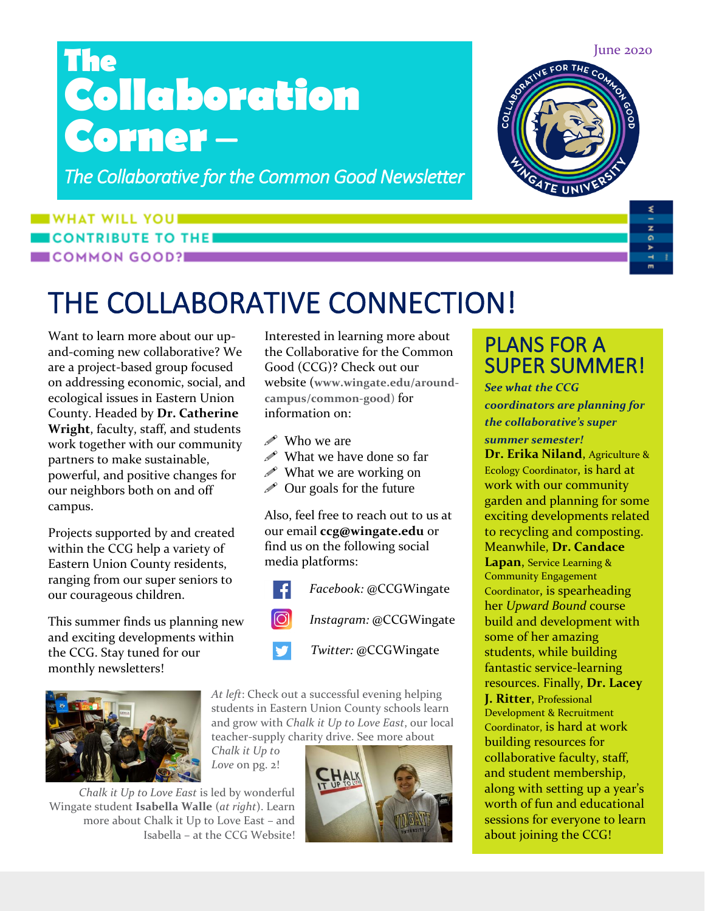# **The Collaboration Corner** –

*The Collaborative for the Common Good Newsletter* 

### **WHAT WILL YOU ... CONTRIBUTE TO THE** COMMON GOOD?

# THE COLLABORATIVE CONNECTION!

Want to learn more about our upand-coming new collaborative? We are a project-based group focused on addressing economic, social, and ecological issues in Eastern Union County. Headed by **Dr. Catherine Wright**, faculty, staff, and students work together with our community partners to make sustainable, powerful, and positive changes for our neighbors both on and off campus.

Projects supported by and created within the CCG help a variety of Eastern Union County residents, ranging from our super seniors to our courageous children.

This summer finds us planning new and exciting developments within the CCG. Stay tuned for our monthly newsletters!



Interested in learning more about the Collaborative for the Common Good (CCG)? Check out our website (**www.wingate.edu/aroundcampus/common-good**) for information on:

- *i* Who we are
- $\mathscr{P}$  What we have done so far
- $\mathscr{P}$  What we are working on
- $\mathscr{D}$  Our goals for the future

Also, feel free to reach out to us at our email **ccg@wingate.edu** or find us on the following social media platforms:



*At left*: Check out a successful evening helping students in Eastern Union County schools learn and grow with *Chalk it Up to Love East*, our local teacher-supply charity drive. See more about

*Chalk it Up to Love* on pg. 2!





### PLANS FOR A SUPER SUMMER!

*See what the CCG coordinators are planning for the collaborative's super summer semester!*

**Dr. Erika Niland**, Agriculture & Ecology Coordinator, is hard at work with our community garden and planning for some exciting developments related to recycling and composting. Meanwhile, **Dr. Candace Lapan**, Service Learning & Community Engagement Coordinator, is spearheading her *Upward Bound* course build and development with some of her amazing students, while building fantastic service-learning resources. Finally, **Dr. Lacey J. Ritter**, Professional Development & Recruitment Coordinator, is hard at work building resources for collaborative faculty, staff, and student membership, along with setting up a year's worth of fun and educational sessions for everyone to learn about joining the CCG!

June 2020



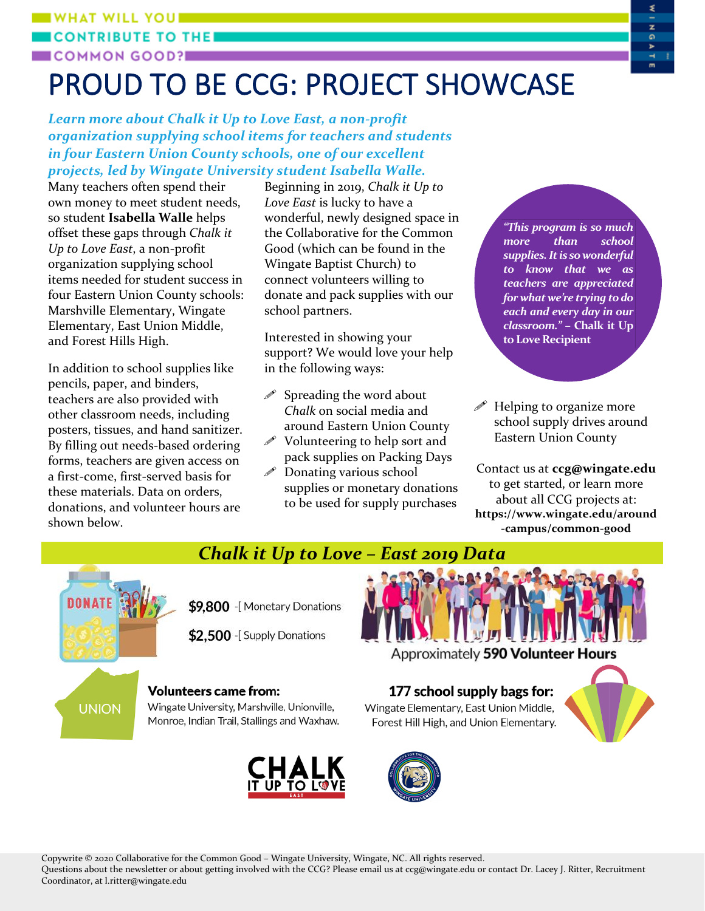#### **WHAT WILL YOU! CONTRIBUTE TO T** COMMON GOOD?

# PROUD TO BE CCG: PROJECT SHOWCASE

*Learn more about Chalk it Up to Love East, a non-profit organization supplying school items for teachers and students in four Eastern Union County schools, one of our excellent projects, led by Wingate University student Isabella Walle.*

Many teachers often spend their own money to meet student needs, so student **Isabella Walle** helps offset these gaps through *Chalk it Up to Love East*, a non-profit organization supplying school items needed for student success in four Eastern Union County schools: Marshville Elementary, Wingate Elementary, East Union Middle, and Forest Hills High.

In addition to school supplies like pencils, paper, and binders, teachers are also provided with other classroom needs, including posters, tissues, and hand sanitizer. By filling out needs-based ordering forms, teachers are given access on a first-come, first-served basis for these materials. Data on orders, donations, and volunteer hours are shown below.

Beginning in 2019, *Chalk it Up to Love East* is lucky to have a wonderful, newly designed space in the Collaborative for the Common Good (which can be found in the Wingate Baptist Church) to connect volunteers willing to donate and pack supplies with our school partners.

Interested in showing your support? We would love your help in the following ways:

- $\mathscr S$  Spreading the word about *Chalk* on social media and around Eastern Union County
- $\mathscr N$  Volunteering to help sort and pack supplies on Packing Days
- $\mathscr P$  Donating various school supplies or monetary donations to be used for supply purchases

*"This program is so much more than school supplies. It is so wonderful to know that we as teachers are appreciated for what we're trying to do each and every day in our classroom." –* **Chalk it Up to Love Recipient**

z

۵

 $\mathscr{P}$  Helping to organize more school supply drives around Eastern Union County

Contact us at **ccg@wingate.edu** to get started, or learn more about all CCG projects at: **https://www.wingate.edu/around -campus/common-good**



\$9,800 -[Monetary Donations

\$2,500 -[Supply Donations



Approximately 590 Volunteer Hours

## **UNION**

### **Volunteers came from:**

Wingate University, Marshville, Unionville, Monroe, Indian Trail, Stallings and Waxhaw.



### 177 school supply bags for:

Wingate Elementary, East Union Middle, Forest Hill High, and Union Elementary.





Copywrite © 2020 Collaborative for the Common Good – Wingate University, Wingate, NC. All rights reserved.

Questions about the newsletter or about getting involved with the CCG? Please email us at ccg@wingate.edu or contact Dr. Lacey J. Ritter, Recruitment Coordinator, at l.ritter@wingate.edu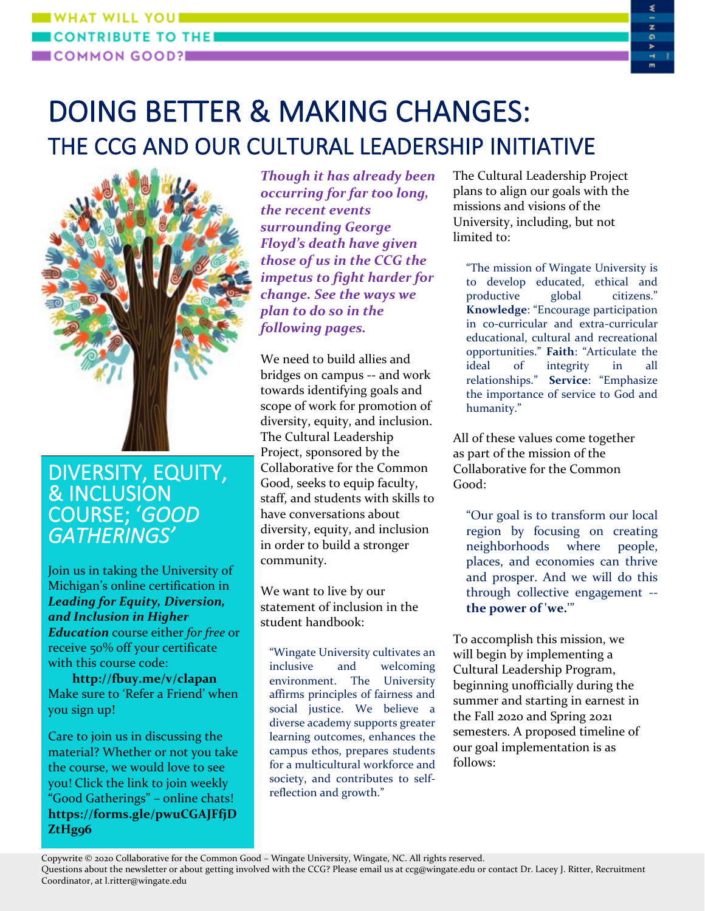#### **WHAT WILL YOU BE CONTRIBUTE TO THE** COMMON GOOD?

## DOING BETTER & MAKING CHANGES: THE CCG AND OUR CULTURAL LEADERSHIP INITIATIVE



### DIVERSITY, EQUITY, & INCLUSION COURSE; '*GOOD GATHERINGS'*

Join us in taking the University of Michigan's online certification in *Leading for Equity, Diversion, and Inclusion in Higher Education* course either *for free* or receive 50% off your certificate with this course code:

**http://fbuy.me/v/clapan** Make sure to 'Refer a Friend' when you sign up!

Care to join us in discussing the material? Whether or not you take the course, we would love to see you! Click the link to join weekly "Good Gatherings" – online chats! **https://forms.gle/pwuCGAJFfjD ZtHg96**

*Though it has already been occurring for far too long, the recent events surrounding George Floyd's death have given those of us in the CCG the impetus to fight harder for change. See the ways we plan to do so in the following pages.*

We need to build allies and bridges on campus -- and work towards identifying goals and scope of work for promotion of diversity, equity, and inclusion. The Cultural Leadership Project, sponsored by the Collaborative for the Common Good, seeks to equip faculty, staff, and students with skills to have conversations about diversity, equity, and inclusion in order to build a stronger community.

We want to live by our statement of inclusion in the student handbook:

"Wingate University cultivates an inclusive and welcoming environment. The University affirms principles of fairness and social justice. We believe a diverse academy supports greater learning outcomes, enhances the campus ethos, prepares students for a multicultural workforce and society, and contributes to selfreflection and growth."

The Cultural Leadership Project plans to align our goals with the missions and visions of the University, including, but not limited to:

۵

"The mission of Wingate University is to develop educated, ethical and productive global citizens." **Knowledge**: "Encourage participation in co-curricular and extra-curricular educational, cultural and recreational opportunities." **Faith**: "Articulate the ideal of integrity in all relationships." **Service**: "Emphasize the importance of service to God and humanity."

All of these values come together as part of the mission of the Collaborative for the Common Good:

"Our goal is to transform our local region by focusing on creating neighborhoods where people, places, and economies can thrive and prosper. And we will do this through collective engagement - **the power of 'we.'**"

To accomplish this mission, we will begin by implementing a Cultural Leadership Program, beginning unofficially during the summer and starting in earnest in the Fall 2020 and Spring 2021 semesters. A proposed timeline of our goal implementation is as follows:

Copywrite © 2020 Collaborative for the Common Good – Wingate University, Wingate, NC. All rights reserved. Questions about the newsletter or about getting involved with the CCG? Please email us at ccg@wingate.edu or contact Dr. Lacey J. Ritter, Recruitment Coordinator, at l.ritter@wingate.edu